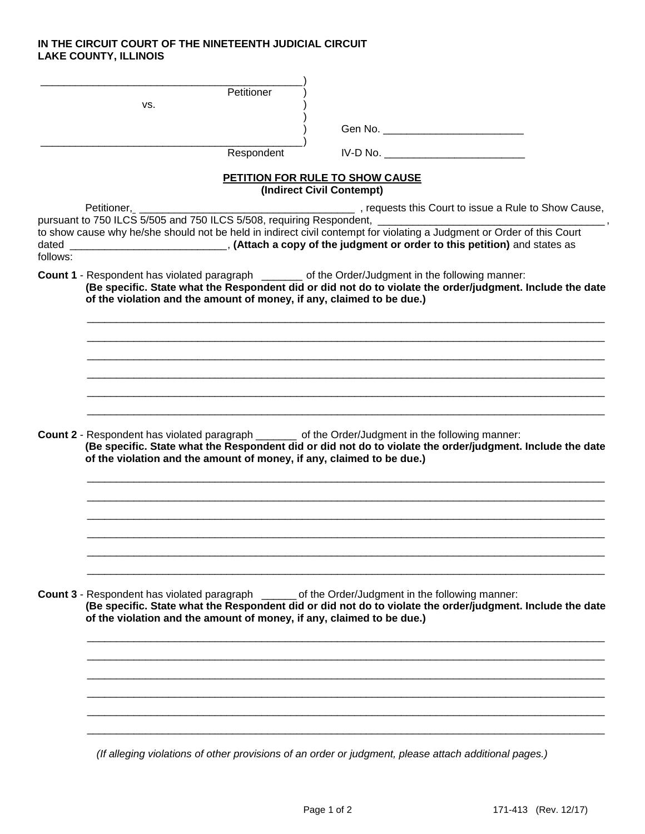## **IN THE CIRCUIT COURT OF THE NINETEENTH JUDICIAL CIRCUIT LAKE COUNTY, ILLINOIS**

|          | Petitioner<br>VS.                                                                                                                                                                                                                                                                                |
|----------|--------------------------------------------------------------------------------------------------------------------------------------------------------------------------------------------------------------------------------------------------------------------------------------------------|
|          |                                                                                                                                                                                                                                                                                                  |
|          |                                                                                                                                                                                                                                                                                                  |
|          | Respondent<br>$IV-D No.$                                                                                                                                                                                                                                                                         |
|          | PETITION FOR RULE TO SHOW CAUSE<br>(Indirect Civil Contempt)                                                                                                                                                                                                                                     |
|          | Petitioner, Petitioner, 2008, Equests this Court to issue a Rule to Show Cause,<br>pursuant to 750 ILCS 5/505 and 750 ILCS 5/508, requiring Respondent, 2008, 2009, 2009, 2009, 2009, 2009, 2009                                                                                                 |
|          | to show cause why he/she should not be held in indirect civil contempt for violating a Judgment or Order of this Court                                                                                                                                                                           |
|          |                                                                                                                                                                                                                                                                                                  |
| follows: |                                                                                                                                                                                                                                                                                                  |
|          | <b>Count 1</b> - Respondent has violated paragraph ________ of the Order/Judgment in the following manner:<br>(Be specific. State what the Respondent did or did not do to violate the order/judgment. Include the date<br>of the violation and the amount of money, if any, claimed to be due.) |
|          |                                                                                                                                                                                                                                                                                                  |
|          |                                                                                                                                                                                                                                                                                                  |
|          |                                                                                                                                                                                                                                                                                                  |
|          |                                                                                                                                                                                                                                                                                                  |
|          |                                                                                                                                                                                                                                                                                                  |
|          | Count 2 - Respondent has violated paragraph ________ of the Order/Judgment in the following manner:                                                                                                                                                                                              |
|          | (Be specific. State what the Respondent did or did not do to violate the order/judgment. Include the date<br>of the violation and the amount of money, if any, claimed to be due.)                                                                                                               |
|          |                                                                                                                                                                                                                                                                                                  |
|          |                                                                                                                                                                                                                                                                                                  |
|          |                                                                                                                                                                                                                                                                                                  |
|          |                                                                                                                                                                                                                                                                                                  |
|          |                                                                                                                                                                                                                                                                                                  |
|          |                                                                                                                                                                                                                                                                                                  |
|          | <b>Count 3</b> - Respondent has violated paragraph _______ of the Order/Judgment in the following manner:<br>(Be specific. State what the Respondent did or did not do to violate the order/judgment. Include the date<br>of the violation and the amount of money, if any, claimed to be due.)  |
|          |                                                                                                                                                                                                                                                                                                  |
|          |                                                                                                                                                                                                                                                                                                  |
|          |                                                                                                                                                                                                                                                                                                  |
|          |                                                                                                                                                                                                                                                                                                  |
|          |                                                                                                                                                                                                                                                                                                  |
|          | (If alleging violations of other provisions of an order or judgment, please attach additional pages.)                                                                                                                                                                                            |